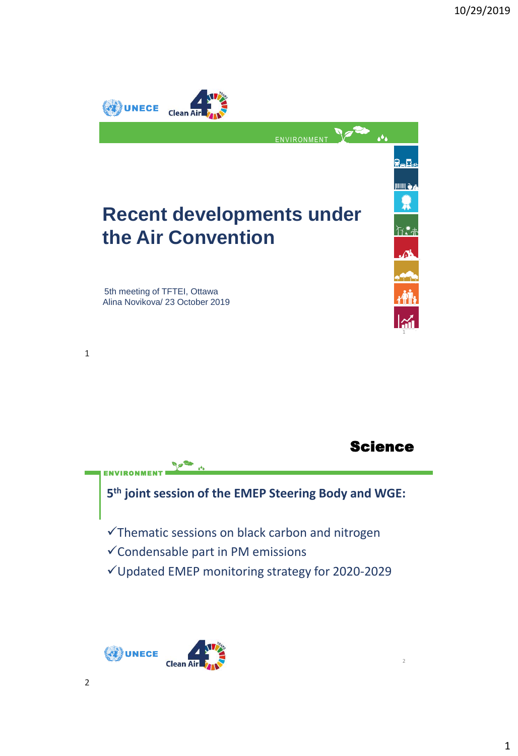

## Science

2

**5 th joint session of the EMEP Steering Body and WGE:** ✓Thematic sessions on black carbon and nitrogen

✓Condensable part in PM emissions

✓Updated EMEP monitoring strategy for 2020-2029



ENVIRONMENT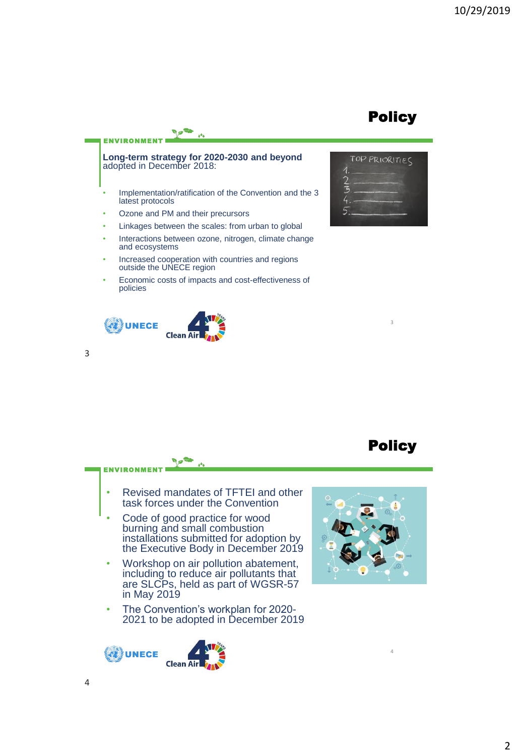## **Policy**



- Ozone and PM and their precursors
- Linkages between the scales: from urban to global
- Interactions between ozone, nitrogen, climate change and ecosystems
- Increased cooperation with countries and regions outside the UNECE region
- Economic costs of impacts and cost-effectiveness of policies



**ENVIRONMENT** 



## **Policy**

4

3

- Revised mandates of TFTEI and other task forces under the Convention
- Code of good practice for wood burning and small combustion installations submitted for adoption by the Executive Body in December 2019
- Workshop on air pollution abatement, including to reduce air pollutants that are SLCPs, held as part of WGSR-57 in May 2019
- The Convention's workplan for 2020- 2021 to be adopted in December 2019





3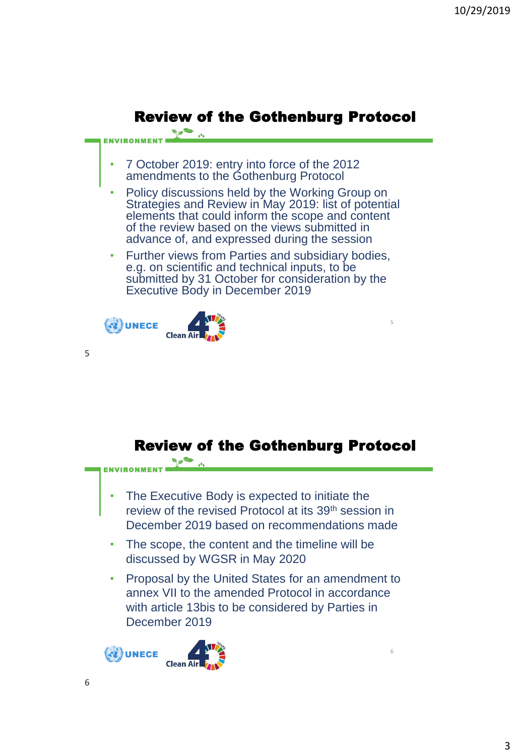

![](_page_2_Picture_2.jpeg)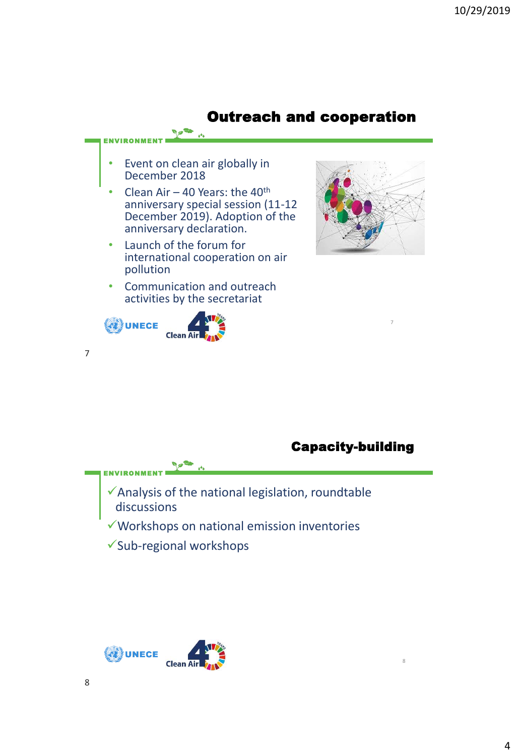![](_page_3_Figure_1.jpeg)

## Capacity-building

8

- ENVIRONMENT ✓Analysis of the national legislation, roundtable discussions ✓Workshops on national emission inventories
	- ✓Sub-regional workshops

![](_page_3_Picture_5.jpeg)